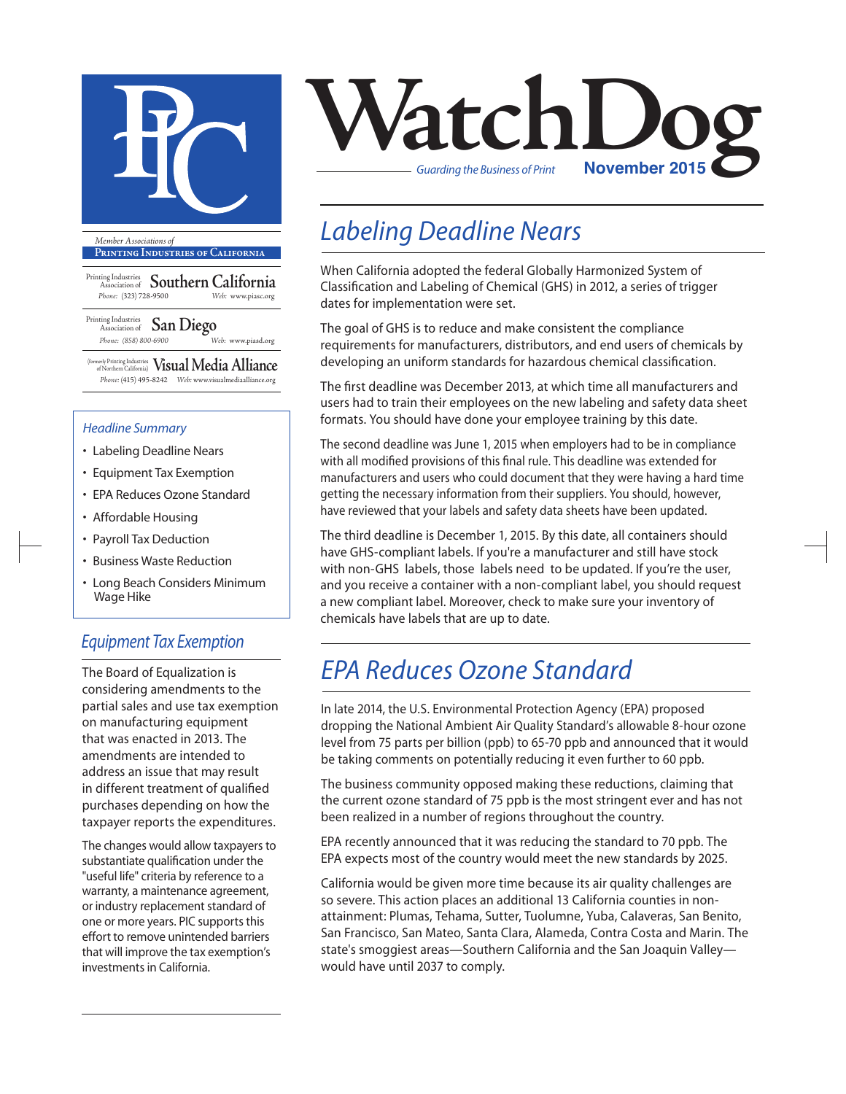

**Printing Industries of California**

Printing Industries Association of **Southern California** *Phone:* (323) 728-9500 *Web:* www.piasc.org

Printing Industries Association of **San Diego** *Phone: (858) 800-6900 Web:* www.piasd.org

(formerly Printing Industries of Northern California) **Visual Media Alliance** *Phone:* (415) 495-8242 *Web:* www.visualmediaalliance.org

#### *Headline Summary*

- Labeling Deadline Nears
- Equipment Tax Exemption
- EPA Reduces Ozone Standard
- Affordable Housing
- Payroll Tax Deduction
- Business Waste Reduction
- Long Beach Considers Minimum Wage Hike

### *Equipment Tax Exemption*

The Board of Equalization is considering amendments to the partial sales and use tax exemption on manufacturing equipment that was enacted in 2013. The amendments are intended to address an issue that may result in different treatment of qualified purchases depending on how the taxpayer reports the expenditures.

The changes would allow taxpayers to substantiate qualification under the "useful life" criteria by reference to a warranty, a maintenance agreement, or industry replacement standard of one or more years. PIC supports this effort to remove unintended barriers that will improve the tax exemption's investments in California.



### *Labeling Deadline Nears*

When California adopted the federal Globally Harmonized System of Classification and Labeling of Chemical (GHS) in 2012, a series of trigger dates for implementation were set.

The goal of GHS is to reduce and make consistent the compliance requirements for manufacturers, distributors, and end users of chemicals by developing an uniform standards for hazardous chemical classification.

The first deadline was December 2013, at which time all manufacturers and users had to train their employees on the new labeling and safety data sheet formats. You should have done your employee training by this date.

The second deadline was June 1, 2015 when employers had to be in compliance with all modified provisions of this final rule. This deadline was extended for manufacturers and users who could document that they were having a hard time getting the necessary information from their suppliers. You should, however, have reviewed that your labels and safety data sheets have been updated.

The third deadline is December 1, 2015. By this date, all containers should have GHS-compliant labels. If you're a manufacturer and still have stock with non-GHS labels, those labels need to be updated. If you're the user, and you receive a container with a non-compliant label, you should request a new compliant label. Moreover, check to make sure your inventory of chemicals have labels that are up to date.

## *EPA Reduces Ozone Standard*

In late 2014, the U.S. Environmental Protection Agency (EPA) proposed dropping the National Ambient Air Quality Standard's allowable 8-hour ozone level from 75 parts per billion (ppb) to 65-70 ppb and announced that it would be taking comments on potentially reducing it even further to 60 ppb.

The business community opposed making these reductions, claiming that the current ozone standard of 75 ppb is the most stringent ever and has not been realized in a number of regions throughout the country.

EPA recently announced that it was reducing the standard to 70 ppb. The EPA expects most of the country would meet the new standards by 2025.

California would be given more time because its air quality challenges are so severe. This action places an additional 13 California counties in nonattainment: Plumas, Tehama, Sutter, Tuolumne, Yuba, Calaveras, San Benito, San Francisco, San Mateo, Santa Clara, Alameda, Contra Costa and Marin. The state's smoggiest areas—Southern California and the San Joaquin Valley would have until 2037 to comply.